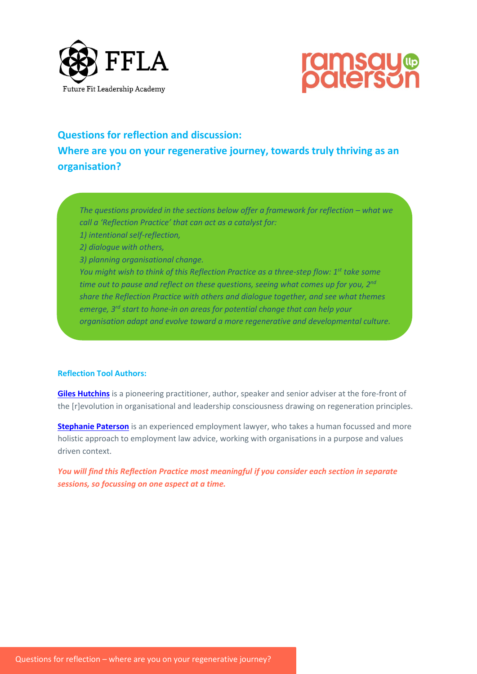



# **Questions for reflection and discussion: Where are you on your regenerative journey, towards truly thriving as an organisation?**

*The questions provided in the sections below offer a framework for reflection – what we call a 'Reflection Practice' that can act as a catalyst for:* 

- *1) intentional self-reflection,*
- *2) dialogue with others,*
- *3) planning organisational change.*

*You might wish to think of this Reflection Practice as a three-step flow: 1st take some time out to pause and reflect on these questions, seeing what comes up for you, 2nd share the Reflection Practice with others and dialogue together, and see what themes emerge, 3rd start to hone-in on areas for potential change that can help your organisation adapt and evolve toward a more regenerative and developmental culture.*

## **Reflection Tool Authors:**

**[Giles Hutchins](http://www.gileshutchins.com/)** is a pioneering practitioner, author, speaker and senior adviser at the fore-front of the [r]evolution in organisational and leadership consciousness drawing on regeneration principles.

**[Stephanie Paterson](https://www.ramsaypaterson.co.uk/who-we-are/stephanie-paterson/)** is an experienced employment lawyer, who takes a human focussed and more holistic approach to employment law advice, working with organisations in a purpose and values driven context.

*You will find this Reflection Practice most meaningful if you consider each section in separate sessions, so focussing on one aspect at a time.*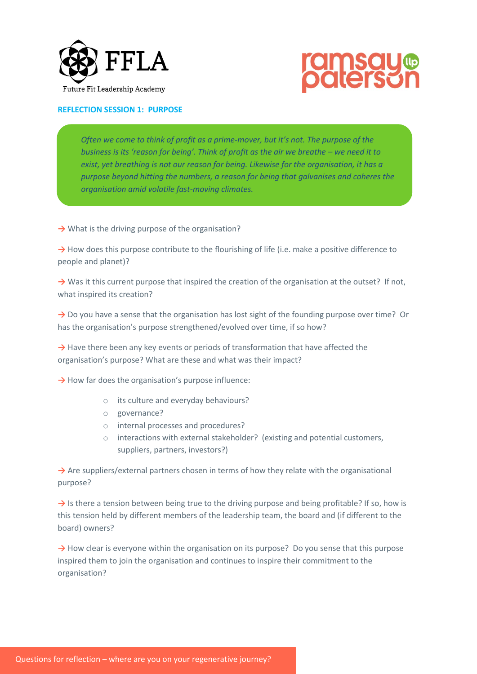



## **REFLECTION SESSION 1: PURPOSE**

*Often we come to think of profit as a prime-mover, but it's not. The purpose of the business is its 'reason for being'. Think of profit as the air we breathe – we need it to exist, yet breathing is not our reason for being. Likewise for the organisation, it has a purpose beyond hitting the numbers, a reason for being that galvanises and coheres the organisation amid volatile fast-moving climates.*

→ What is the driving purpose of the organisation?

→ How does this purpose contribute to the flourishing of life (i.e. make a positive difference to people and planet)?

→ Was it this current purpose that inspired the creation of the organisation at the outset? If not, what inspired its creation?

→ Do you have a sense that the organisation has lost sight of the founding purpose over time? Or has the organisation's purpose strengthened/evolved over time, if so how?

→ Have there been any key events or periods of transformation that have affected the organisation's purpose? What are these and what was their impact?

→ How far does the organisation's purpose influence:

- o its culture and everyday behaviours?
- o governance?
- o internal processes and procedures?
- $\circ$  interactions with external stakeholder? (existing and potential customers, suppliers, partners, investors?)

→ Are suppliers/external partners chosen in terms of how they relate with the organisational purpose?

→ Is there a tension between being true to the driving purpose and being profitable? If so, how is this tension held by different members of the leadership team, the board and (if different to the board) owners?

→ How clear is everyone within the organisation on its purpose? Do you sense that this purpose inspired them to join the organisation and continues to inspire their commitment to the organisation?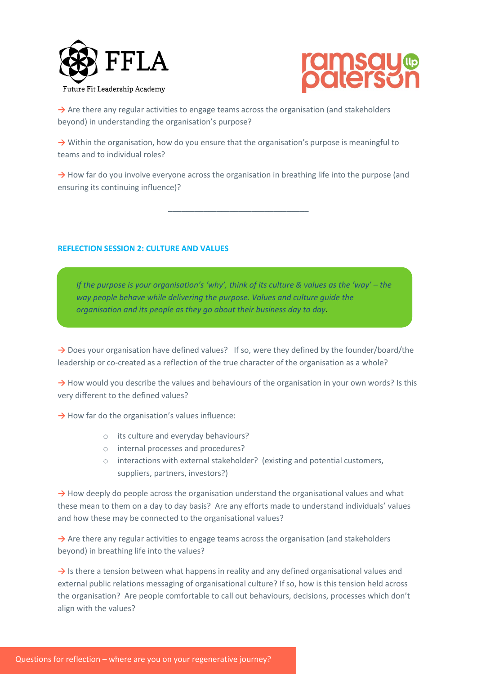



→ Are there any regular activities to engage teams across the organisation (and stakeholders beyond) in understanding the organisation's purpose?

→ Within the organisation, how do you ensure that the organisation's purpose is meaningful to teams and to individual roles?

**→** How far do you involve everyone across the organisation in breathing life into the purpose (and ensuring its continuing influence)?

**\_\_\_\_\_\_\_\_\_\_\_\_\_\_\_\_\_\_\_\_\_\_\_\_\_\_\_\_\_\_\_\_**

## **REFLECTION SESSION 2: CULTURE AND VALUES**

*If the purpose is your organisation's 'why', think of its culture & values as the 'way' – the way people behave while delivering the purpose. Values and culture guide the organisation and its people as they go about their business day to day.* 

→ Does your organisation have defined values? If so, were they defined by the founder/board/the leadership or co-created as a reflection of the true character of the organisation as a whole?

→ How would you describe the values and behaviours of the organisation in your own words? Is this very different to the defined values?

→ How far do the organisation's values influence:

- o its culture and everyday behaviours?
- o internal processes and procedures?
- o interactions with external stakeholder? (existing and potential customers, suppliers, partners, investors?)

→ How deeply do people across the organisation understand the organisational values and what these mean to them on a day to day basis? Are any efforts made to understand individuals' values and how these may be connected to the organisational values?

→ Are there any regular activities to engage teams across the organisation (and stakeholders beyond) in breathing life into the values?

→ Is there a tension between what happens in reality and any defined organisational values and external public relations messaging of organisational culture? If so, how is this tension held across the organisation? Are people comfortable to call out behaviours, decisions, processes which don't align with the values?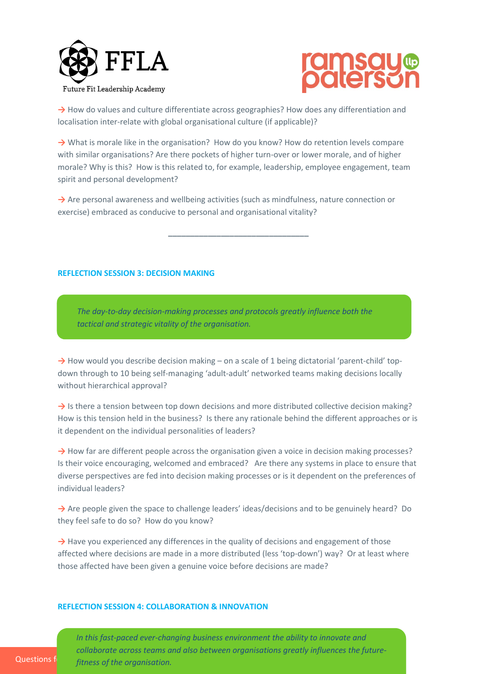



→ How do values and culture differentiate across geographies? How does any differentiation and localisation inter-relate with global organisational culture (if applicable)?

→ What is morale like in the organisation? How do you know? How do retention levels compare with similar organisations? Are there pockets of higher turn-over or lower morale, and of higher morale? Why is this? How is this related to, for example, leadership, employee engagement, team spirit and personal development?

→ Are personal awareness and wellbeing activities (such as mindfulness, nature connection or exercise) embraced as conducive to personal and organisational vitality?

**\_\_\_\_\_\_\_\_\_\_\_\_\_\_\_\_\_\_\_\_\_\_\_\_\_\_\_\_\_\_\_\_**

## **REFLECTION SESSION 3: DECISION MAKING**

*The day-to-day decision-making processes and protocols greatly influence both the tactical and strategic vitality of the organisation.*

→ How would you describe decision making – on a scale of 1 being dictatorial 'parent-child' topdown through to 10 being self-managing 'adult-adult' networked teams making decisions locally without hierarchical approval?

→ Is there a tension between top down decisions and more distributed collective decision making? How is this tension held in the business? Is there any rationale behind the different approaches or is it dependent on the individual personalities of leaders?

→ How far are different people across the organisation given a voice in decision making processes? Is their voice encouraging, welcomed and embraced? Are there any systems in place to ensure that diverse perspectives are fed into decision making processes or is it dependent on the preferences of individual leaders?

→ Are people given the space to challenge leaders' ideas/decisions and to be genuinely heard? Do they feel safe to do so? How do you know?

→ Have you experienced any differences in the quality of decisions and engagement of those affected where decisions are made in a more distributed (less 'top-down') way? Or at least where those affected have been given a genuine voice before decisions are made?

### **REFLECTION SESSION 4: COLLABORATION & INNOVATION**

Questions for *reflection – where are you* on your regeneration. *In this fast-paced ever-changing business environment the ability to innovate and collaborate across teams and also between organisations greatly influences the future-*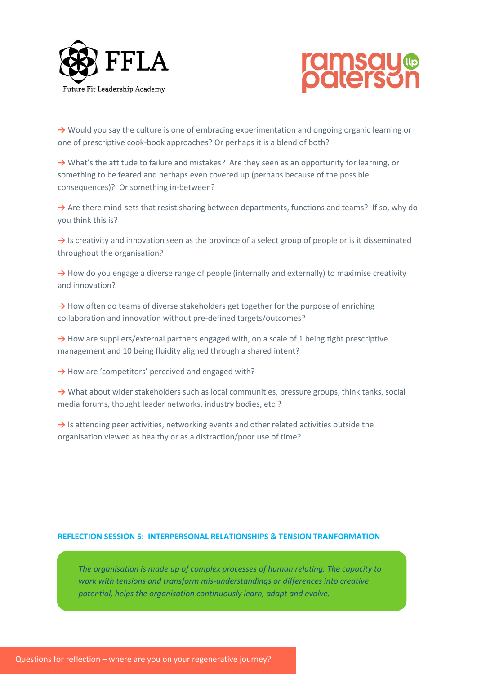



**→** Would you say the culture is one of embracing experimentation and ongoing organic learning or one of prescriptive cook-book approaches? Or perhaps it is a blend of both?

**→** What's the attitude to failure and mistakes? Are they seen as an opportunity for learning, or something to be feared and perhaps even covered up (perhaps because of the possible consequences)? Or something in-between?

→ Are there mind-sets that resist sharing between departments, functions and teams? If so, why do you think this is?

→ Is creativity and innovation seen as the province of a select group of people or is it disseminated throughout the organisation?

**→** How do you engage a diverse range of people (internally and externally) to maximise creativity and innovation?

→ How often do teams of diverse stakeholders get together for the purpose of enriching collaboration and innovation without pre-defined targets/outcomes?

→ How are suppliers/external partners engaged with, on a scale of 1 being tight prescriptive management and 10 being fluidity aligned through a shared intent?

→ How are 'competitors' perceived and engaged with?

→ What about wider stakeholders such as local communities, pressure groups, think tanks, social media forums, thought leader networks, industry bodies, etc.?

**→** Is attending peer activities, networking events and other related activities outside the organisation viewed as healthy or as a distraction/poor use of time?

## **REFLECTION SESSION 5: INTERPERSONAL RELATIONSHIPS & TENSION TRANFORMATION**

*The organisation is made up of complex processes of human relating. The capacity to work with tensions and transform mis-understandings or differences into creative potential, helps the organisation continuously learn, adapt and evolve.*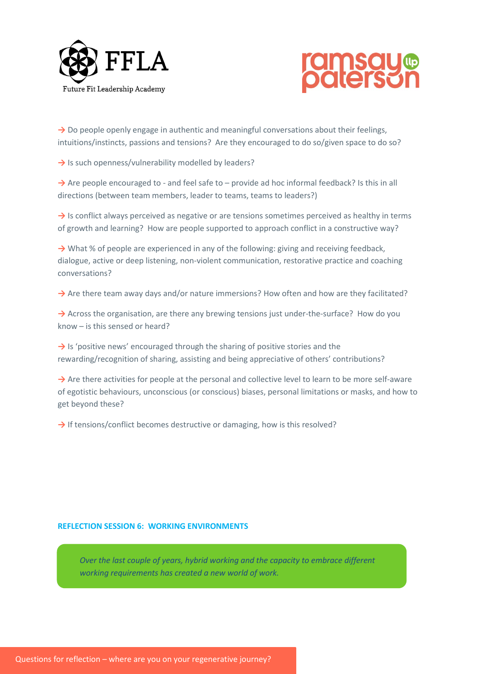



→ Do people openly engage in authentic and meaningful conversations about their feelings, intuitions/instincts, passions and tensions? Are they encouraged to do so/given space to do so?

→ Is such openness/vulnerability modelled by leaders?

→ Are people encouraged to - and feel safe to – provide ad hoc informal feedback? Is this in all directions (between team members, leader to teams, teams to leaders?)

→ Is conflict always perceived as negative or are tensions sometimes perceived as healthy in terms of growth and learning? How are people supported to approach conflict in a constructive way?

→ What % of people are experienced in any of the following: giving and receiving feedback, dialogue, active or deep listening, non-violent communication, restorative practice and coaching conversations?

→ Are there team away days and/or nature immersions? How often and how are they facilitated?

→ Across the organisation, are there any brewing tensions just under-the-surface? How do you know – is this sensed or heard?

**→** Is 'positive news' encouraged through the sharing of positive stories and the rewarding/recognition of sharing, assisting and being appreciative of others' contributions?

→ Are there activities for people at the personal and collective level to learn to be more self-aware of egotistic behaviours, unconscious (or conscious) biases, personal limitations or masks, and how to get beyond these?

→ If tensions/conflict becomes destructive or damaging, how is this resolved?

## **REFLECTION SESSION 6: WORKING ENVIRONMENTS**

*Over the last couple of years, hybrid working and the capacity to embrace different working requirements has created a new world of work.*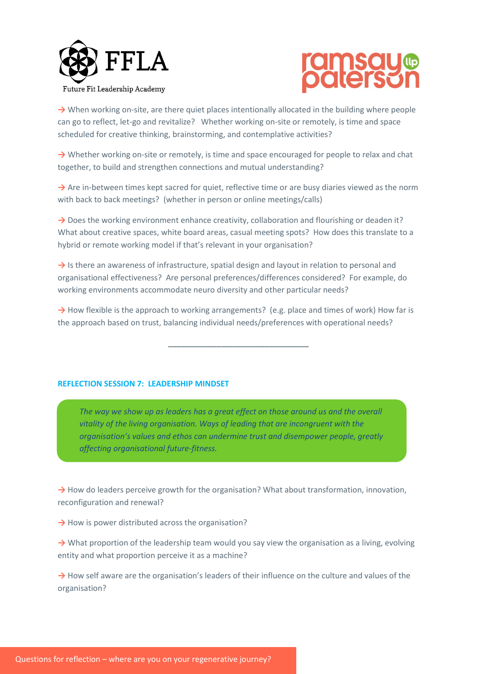



→ When working on-site, are there quiet places intentionally allocated in the building where people can go to reflect, let-go and revitalize? Whether working on-site or remotely, is time and space scheduled for creative thinking, brainstorming, and contemplative activities?

**→** Whether working on-site or remotely, is time and space encouraged for people to relax and chat together, to build and strengthen connections and mutual understanding?

→ Are in-between times kept sacred for quiet, reflective time or are busy diaries viewed as the norm with back to back meetings? (whether in person or online meetings/calls)

→ Does the working environment enhance creativity, collaboration and flourishing or deaden it? What about creative spaces, white board areas, casual meeting spots? How does this translate to a hybrid or remote working model if that's relevant in your organisation?

→ Is there an awareness of infrastructure, spatial design and layout in relation to personal and organisational effectiveness? Are personal preferences/differences considered? For example, do working environments accommodate neuro diversity and other particular needs?

→ How flexible is the approach to working arrangements? (e.g. place and times of work) How far is the approach based on trust, balancing individual needs/preferences with operational needs?

**\_\_\_\_\_\_\_\_\_\_\_\_\_\_\_\_\_\_\_\_\_\_\_\_\_\_\_\_\_\_\_\_**

## **REFLECTION SESSION 7: LEADERSHIP MINDSET**

*The way we show up as leaders has a great effect on those around us and the overall vitality of the living organisation. Ways of leading that are incongruent with the organisation's values and ethos can undermine trust and disempower people, greatly affecting organisational future-fitness.*

→ How do leaders perceive growth for the organisation? What about transformation, innovation, reconfiguration and renewal?

→ How is power distributed across the organisation?

→ What proportion of the leadership team would you say view the organisation as a living, evolving entity and what proportion perceive it as a machine?

→ How self aware are the organisation's leaders of their influence on the culture and values of the organisation?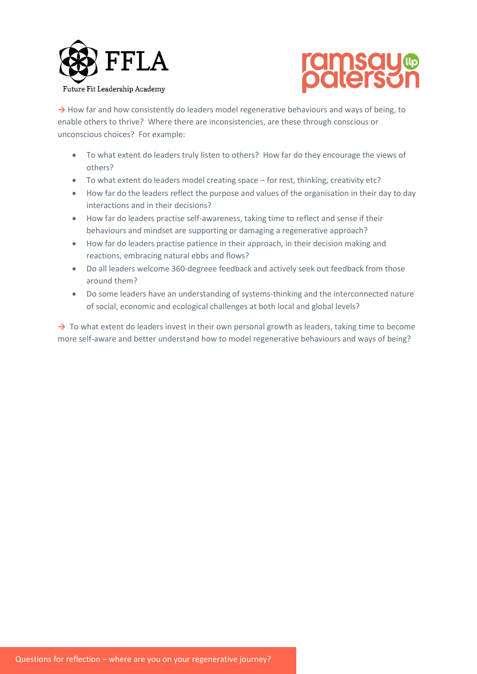



→ How far and how consistently do leaders model regenerative behaviours and ways of being, to enable others to thrive? Where there are inconsistencies, are these through conscious or unconscious choices? For example:

- To what extent do leaders truly listen to others? How far do they encourage the views of others?
- To what extent do leaders model creating space for rest, thinking, creativity etc?
- How far do the leaders reflect the purpose and values of the organisation in their day to day interactions and in their decisions?
- How far do leaders practise self-awareness, taking time to reflect and sense if their behaviours and mindset are supporting or damaging a regenerative approach?
- How far do leaders practise patience in their approach, in their decision making and reactions, embracing natural ebbs and flows?
- Do all leaders welcome 360-degreee feedback and actively seek out feedback from those around them?
- Do some leaders have an understanding of systems-thinking and the interconnected nature of social, economic and ecological challenges at both local and global levels?

→ To what extent do leaders invest in their own personal growth as leaders, taking time to become more self-aware and better understand how to model regenerative behaviours and ways of being?